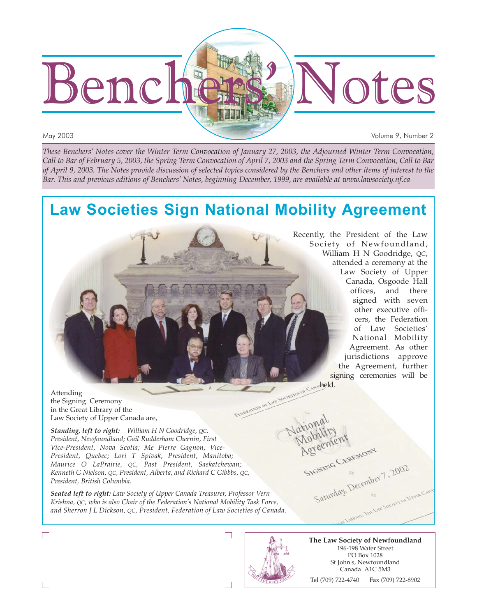

May 2003 Volume 9, Number 2

*These Benchers' Notes cover the Winter Term Convocation of January 27, 2003, the Adjourned Winter Term Convocation, Call to Bar of February 5, 2003, the Spring Term Convocation of April 7, 2003 and the Spring Term Convocation, Call to Bar of April 9, 2003. The Notes provide discussion of selected topics considered by the Benchers and other items of interest to the Bar. This and previous editions of Benchers' Notes, beginning December, 1999, are available at www.lawsociety.nf.ca*

# **Law Societies Sign National Mobility Agreement**

Recently, the President of the Law Society of Newfoundland, William H N Goodridge, QC, attended a ceremony at the Law Society of Upper Canada, Osgoode Hall offices, and there signed with seven other executive officers, the Federation of Law Societies' National Mobility Agreement. As other jurisdictions approve the Agreement, further signing ceremonies will be ov Casa held.

Attending the Signing Ceremony in the Great Library of the Law Society of Upper Canada are,

*Standing, left to right: William H N Goodridge, QC, President, Newfoundland; Gail Rudderham Chernin, First Vice-President, Nova Scotia; Me Pierre Gagnon, Vice-President, Quebec; Lori T Spivak, President, Manitoba; Maurice O LaPrairie, QC, Past President, Saskatchewan; Kenneth G Nielson, QC, President, Alberta; and Richard C Gibbbs, QC, President, British Columbia.*

*Seated left to right: Law Society of Upper Canada Treasurer, Professor Vern Krishna, QC, who is also Chair of the Federation's National Mobility Task Force, and Sherron J L Dickson, QC, President, Federation of Law Societies of Canada.*

Saturday December 7, 2002

**The Law Society of Newfoundland** 196-198 Water Street PO Box 1028 St John's, Newfoundland Canada A1C 5M3 Tel (709) 722-4740 Fax (709) 722-8902

SIGNING CEREMONY

Г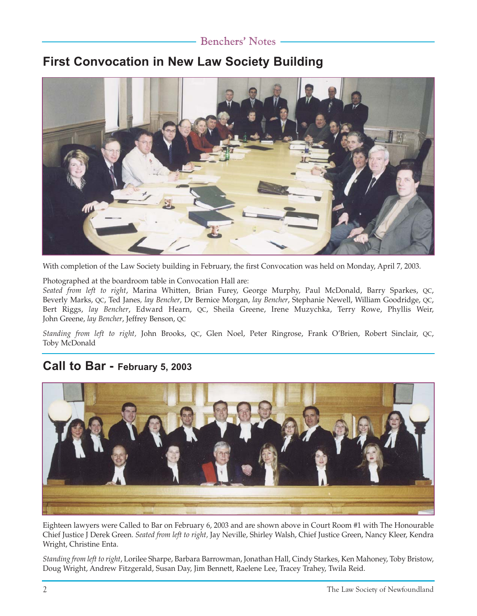### Benchers' Notes

## **First Convocation in New Law Society Building**



With completion of the Law Society building in February, the first Convocation was held on Monday, April 7, 2003.

Photographed at the boardroom table in Convocation Hall are:

*Seated from left to right*, Marina Whitten, Brian Furey, George Murphy, Paul McDonald, Barry Sparkes, QC, Beverly Marks, QC, Ted Janes*, lay Bencher*, Dr Bernice Morgan, *lay Bencher*, Stephanie Newell, William Goodridge, QC, Bert Riggs, *lay Bencher*, Edward Hearn, QC, Sheila Greene, Irene Muzychka, Terry Rowe, Phyllis Weir, John Greene, *lay Bencher*, Jeffrey Benson, QC

*Standing from left to right,* John Brooks, QC, Glen Noel, Peter Ringrose, Frank O'Brien, Robert Sinclair, QC, Toby McDonald

## **Call to Bar - February 5, 2003**



Eighteen lawyers were Called to Bar on February 6, 2003 and are shown above in Court Room #1 with The Honourable Chief Justice J Derek Green. *Seated from left to right,* Jay Neville, Shirley Walsh, Chief Justice Green, Nancy Kleer, Kendra Wright, Christine Enta.

*Standing from left to right*, Lorilee Sharpe, Barbara Barrowman, Jonathan Hall, Cindy Starkes, Ken Mahoney, Toby Bristow, Doug Wright, Andrew Fitzgerald, Susan Day, Jim Bennett, Raelene Lee, Tracey Trahey, Twila Reid.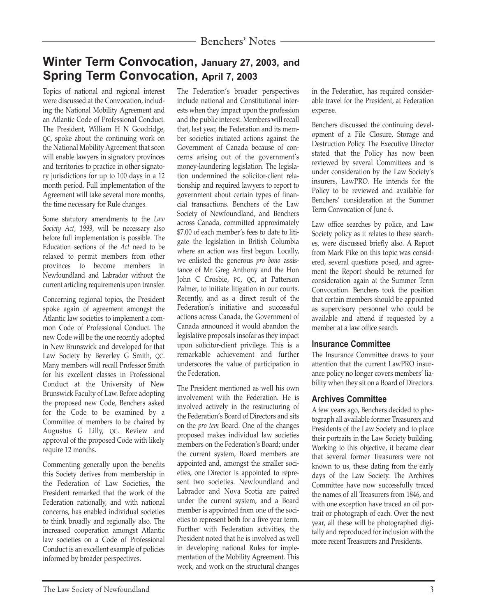## **Winter Term Convocation, January 27, 2003, and Spring Term Convocation, April 7, 2003**

Topics of national and regional interest were discussed at the Convocation, including the National Mobility Agreement and an Atlantic Code of Professional Conduct. The President, William H N Goodridge, QC, spoke about the continuing work on the National Mobility Agreement that soon will enable lawyers in signatory provinces and territories to practice in other signatory jurisdictions for up to 100 days in a 12 month period. Full implementation of the Agreement will take several more months, the time necessary for Rule changes.

Some statutory amendments to the *Law Society Act, 1999*, will be necessary also before full implementation is possible. The Education sections of the *Act* need to be relaxed to permit members from other provinces to become members in Newfoundland and Labrador without the current articling requirements upon transfer.

Concerning regional topics, the President spoke again of agreement amongst the Atlantic law societies to implement a common Code of Professional Conduct. The new Code will be the one recently adopted in New Brunswick and developed for that Law Society by Beverley G Smith, QC. Many members will recall Professor Smith for his excellent classes in Professional Conduct at the University of New Brunswick Faculty of Law. Before adopting the proposed new Code, Benchers asked for the Code to be examined by a Committee of members to be chaired by Augustus G Lilly, QC. Review and approval of the proposed Code with likely require 12 months.

Commenting generally upon the benefits this Society derives from membership in the Federation of Law Societies, the President remarked that the work of the Federation nationally, and with national concerns, has enabled individual societies to think broadly and regionally also. The increased cooperation amongst Atlantic law societies on a Code of Professional Conduct is an excellent example of policies informed by broader perspectives.

The Federation's broader perspectives include national and Constitutional interests when they impact upon the profession and the public interest. Members will recall that, last year, the Federation and its member societies initiated actions against the Government of Canada because of concerns arising out of the government's money-laundering legislation. The legislation undermined the solicitor-client relationship and required lawyers to report to government about certain types of financial transactions. Benchers of the Law Society of Newfoundland, and Benchers across Canada, committed approximately \$7.00 of each member's fees to date to litigate the legislation in British Columbia where an action was first begun. Locally, we enlisted the generous *pro bono* assistance of Mr Greg Anthony and the Hon John C Crosbie, PC, QC, at Patterson Palmer, to initiate litigation in our courts. Recently, and as a direct result of the Federation's initiative and successful actions across Canada, the Government of Canada announced it would abandon the legislative proposals insofar as they impact upon solicitor-client privilege. This is a remarkable achievement and further underscores the value of participation in the Federation.

The President mentioned as well his own involvement with the Federation. He is involved actively in the restructuring of the Federation's Board of Directors and sits on the *pro tem* Board. One of the changes proposed makes individual law societies members on the Federation's Board; under the current system, Board members are appointed and, amongst the smaller societies, one Director is appointed to represent two societies. Newfoundland and Labrador and Nova Scotia are paired under the current system, and a Board member is appointed from one of the societies to represent both for a five year term. Further with Federation activities, the President noted that he is involved as well in developing national Rules for implementation of the Mobility Agreement. This work, and work on the structural changes in the Federation, has required considerable travel for the President, at Federation expense.

Benchers discussed the continuing development of a File Closure, Storage and Destruction Policy. The Executive Director stated that the Policy has now been reviewed by several Committees and is under consideration by the Law Society's insurers, LawPRO. He intends for the Policy to be reviewed and available for Benchers' consideration at the Summer Term Convocation of June 6.

Law office searches by police, and Law Society policy as it relates to these searches, were discussed briefly also. A Report from Mark Pike on this topic was considered, several questions posed, and agreement the Report should be returned for consideration again at the Summer Term Convocation. Benchers took the position that certain members should be appointed as supervisory personnel who could be available and attend if requested by a member at a law office search.

#### **Insurance Committee**

The Insurance Committee draws to your attention that the current LawPRO insurance policy no longer covers members' liability when they sit on a Board of Directors.

#### **Archives Committee**

A few years ago, Benchers decided to photograph all available former Treasurers and Presidents of the Law Society and to place their portraits in the Law Society building. Working to this objective, it became clear that several former Treasurers were not known to us, these dating from the early days of the Law Society. The Archives Committee have now successfully traced the names of all Treasurers from 1846, and with one exception have traced an oil portrait or photograph of each. Over the next year, all these will be photographed digitally and reproduced for inclusion with the more recent Treasurers and Presidents.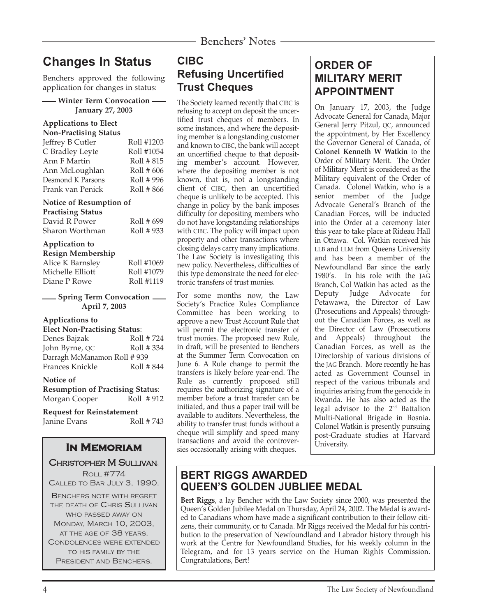# **Changes In Status**

Benchers approved the following application for changes in status:

#### **Winter Term Convocation January 27, 2003**

#### **Applications to Elect**

| Non-Practising Status |            |
|-----------------------|------------|
| Jeffrey B Cutler      | Roll #1203 |
| C Bradley Leyte       | Roll #1054 |
| Ann F Martin          | Roll # 815 |
| Ann McLoughlan        | Roll # 606 |
| Desmond K Parsons     | Roll # 996 |
| Frank van Penick      | Roll # 866 |
|                       |            |

#### **Notice of Resumption of**

| <b>Practising Status</b> |            |
|--------------------------|------------|
| David R Power            | Roll # 699 |
| Sharon Worthman          | Roll #933  |

#### **Application to**

| <b>Resign Membership</b> |            |
|--------------------------|------------|
| Alice K Barnsley         | Roll #1069 |
| Michelle Elliott         | Roll #1079 |
| Diane P Rowe             | Roll #1119 |

**Spring Term Convocation April 7, 2003**

#### **Applications to**

| <b>Elect Non-Practising Status:</b> |            |  |  |  |
|-------------------------------------|------------|--|--|--|
| Denes Bajzak                        | Roll #724  |  |  |  |
| John Byrne, QC                      | Roll # 334 |  |  |  |
| Darragh McManamon Roll # 939        |            |  |  |  |
| Frances Knickle                     | Roll # 844 |  |  |  |

#### **Notice of**

**Resumption of Practising Status**: Morgan Cooper Roll #912

#### **Request for Reinstatement** Janine Evans Roll # 743

## **In Memoriam**

#### CHRISTOPHER M SULLIVAN,

ROLL #774 CALLED TO BAR JULY 3, 1990. BENCHERS NOTE WITH REGRET THE DEATH OF CHRIS SULLIVAN WHO PASSED AWAY ON MONDAY, MARCH 10, 2003, AT THE AGE OF 38 YEARS. CONDOLENCES WERE EXTENDED TO HIS FAMILY BY THE PRESIDENT AND BENCHERS.

## **CIBC Refusing Uncertified Trust Cheques**

The Society learned recently that CIBC is refusing to accept on deposit the uncertified trust cheques of members. In some instances, and where the depositing member is a longstanding customer and known to CIBC, the bank will accept an uncertified cheque to that depositing member's account. However, where the depositing member is not known, that is, not a longstanding client of CIBC, then an uncertified cheque is unlikely to be accepted. This change in policy by the bank imposes difficulty for depositing members who do not have longstanding relationships with CIBC. The policy will impact upon property and other transactions where closing delays carry many implications. The Law Society is investigating this new policy. Nevertheless, difficulties of this type demonstrate the need for electronic transfers of trust monies.

For some months now, the Law Society's Practice Rules Compliance Committee has been working to approve a new Trust Account Rule that will permit the electronic transfer of trust monies. The proposed new Rule, in draft, will be presented to Benchers at the Summer Term Convocation on June 6. A Rule change to permit the transfers is likely before year-end. The Rule as currently proposed still requires the authorizing signature of a member before a trust transfer can be initiated, and thus a paper trail will be available to auditors. Nevertheless, the ability to transfer trust funds without a cheque will simplify and speed many transactions and avoid the controversies occasionally arising with cheques.

## **ORDER OF MILITARY MERIT APPOINTMENT**

On January 17, 2003, the Judge Advocate General for Canada, Major General Jerry Pitzul, QC, announced the appointment, by Her Excellency the Governor General of Canada, of **Colonel Kenneth W Watkin** to the Order of Military Merit. The Order of Military Merit is considered as the Military equivalent of the Order of Canada. Colonel Watkin, who is a senior member of the Judge Advocate General's Branch of the Canadian Forces, will be inducted into the Order at a ceremony later this year to take place at Rideau Hall in Ottawa. Col. Watkin received his LLB and LLM from Queens University and has been a member of the Newfoundland Bar since the early 1980's. In his role with the JAG Branch, Col Watkin has acted as the Deputy Judge Advocate for Petawawa, the Director of Law (Prosecutions and Appeals) throughout the Canadian Forces, as well as the Director of Law (Prosecutions and Appeals) throughout the Canadian Forces, as well as the Directorship of various divisions of the JAG Branch. More recently he has acted as Government Counsel in respect of the various tribunals and inquiries arising from the genocide in Rwanda. He has also acted as the legal advisor to the  $2<sup>nd</sup>$  Battalion Multi-National Brigade in Bosnia. Colonel Watkin is presently pursuing post-Graduate studies at Harvard University.

## **BERT RIGGS AWARDED QUEEN'S GOLDEN JUBLIEE MEDAL**

**Bert Riggs**, a lay Bencher with the Law Society since 2000, was presented the Queen's Golden Jubilee Medal on Thursday, April 24, 2002. The Medal is awarded to Canadians whom have made a significant contribution to their fellow citizens, their community, or to Canada. Mr Riggs received the Medal for his contribution to the preservation of Newfoundland and Labrador history through his work at the Centre for Newfoundland Studies, for his weekly column in the Telegram, and for 13 years service on the Human Rights Commission. Congratulations, Bert!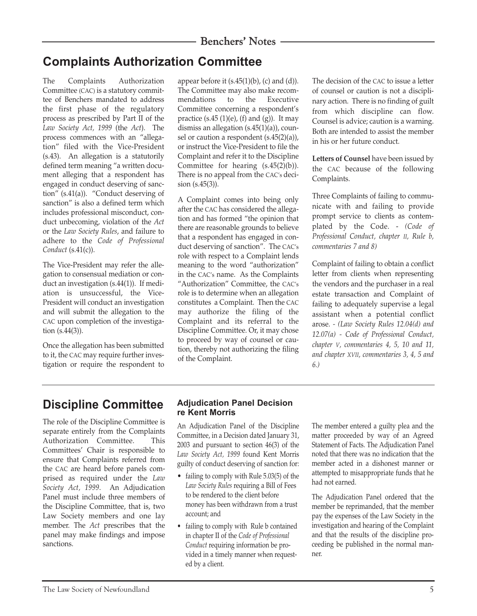# **Complaints Authorization Committee**

The Complaints Authorization Committee (CAC) is a statutory committee of Benchers mandated to address the first phase of the regulatory process as prescribed by Part II of the *Law Society Act, 1999* (the *Act*). The process commences with an "allegation" filed with the Vice-President (s.43). An allegation is a statutorily defined term meaning "a written document alleging that a respondent has engaged in conduct deserving of sanction" (s.41(a)). "Conduct deserving of sanction" is also a defined term which includes professional misconduct, conduct unbecoming, violation of the *Act* or the *Law Society Rules*, and failure to adhere to the *Code of Professional Conduct* (s.41(c)).

The Vice-President may refer the allegation to consensual mediation or conduct an investigation (s.44(1)). If mediation is unsuccessful, the Vice-President will conduct an investigation and will submit the allegation to the CAC upon completion of the investigation (s.44(3)).

Once the allegation has been submitted to it, the CAC may require further investigation or require the respondent to appear before it (s.45(1)(b), (c) and (d)). The Committee may also make recommendations to the Executive Committee concerning a respondent's practice  $(s.45 (1)(e), (f)$  and  $(g)$ ). It may dismiss an allegation (s.45(1)(a)), counsel or caution a respondent (s.45(2)(a)), or instruct the Vice-President to file the Complaint and refer it to the Discipline Committee for hearing (s.45(2)(b)). There is no appeal from the CAC's decision (s.45(3)).

A Complaint comes into being only after the CAC has considered the allegation and has formed "the opinion that there are reasonable grounds to believe that a respondent has engaged in conduct deserving of sanction". The CAC's role with respect to a Complaint lends meaning to the word "authorization" in the CAC's name. As the Complaints "Authorization" Committee, the CAC's role is to determine when an allegation constitutes a Complaint. Then the CAC may authorize the filing of the Complaint and its referral to the Discipline Committee. Or, it may chose to proceed by way of counsel or caution, thereby not authorizing the filing of the Complaint.

The decision of the CAC to issue a letter of counsel or caution is not a disciplinary action. There is no finding of guilt from which discipline can flow. Counsel is advice; caution is a warning. Both are intended to assist the member in his or her future conduct.

**Letters of Counsel** have been issued by the CAC because of the following Complaints.

Three Complaints of failing to communicate with and failing to provide prompt service to clients as contemplated by the Code. - *(Code of Professional Conduct, chapter II, Rule b, commentaries 7 and 8)*

Complaint of failing to obtain a conflict letter from clients when representing the vendors and the purchaser in a real estate transaction and Complaint of failing to adequately supervise a legal assistant when a potential conflict arose. *- (Law Society Rules 12.04(d) and 12.07(a) - Code of Professional Conduct, chapter V, commentaries 4, 5, 10 and 11, and chapter XVII, commentaries 3, 4, 5 and 6.)*

## **Discipline Committee**

The role of the Discipline Committee is separate entirely from the Complaints Authorization Committee. This Committees' Chair is responsible to ensure that Complaints referred from the CAC are heard before panels comprised as required under the *Law Society Act, 1999*. An Adjudication Panel must include three members of the Discipline Committee, that is, two Law Society members and one lay member. The *Act* prescribes that the panel may make findings and impose sanctions.

#### **Adjudication Panel Decision re Kent Morris**

An Adjudication Panel of the Discipline Committee, in a Decision dated January 31, 2003 and pursuant to section 46(3) of the *Law Society Act, 1999* found Kent Morris guilty of conduct deserving of sanction for:

- failing to comply with Rule 5.03(5) of the *Law Society Rules* requiring a Bill of Fees to be rendered to the client before money has been withdrawn from a trust account; and
- failing to comply with Rule b contained in chapter II of the *Code of Professional Conduct* requiring information be provided in a timely manner when requested by a client.

The member entered a guilty plea and the matter proceeded by way of an Agreed Statement of Facts. The Adjudication Panel noted that there was no indication that the member acted in a dishonest manner or attempted to misappropriate funds that he had not earned.

The Adjudication Panel ordered that the member be reprimanded, that the member pay the expenses of the Law Society in the investigation and hearing of the Complaint and that the results of the discipline proceeding be published in the normal manner.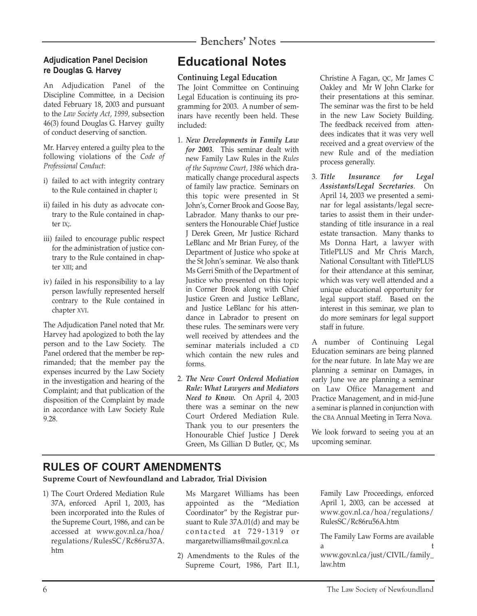#### **Adjudication Panel Decision re Douglas G. Harvey**

An Adjudication Panel of the Discipline Committee, in a Decision dated February 18, 2003 and pursuant to the *Law Society Act, 1999,* subsection 46(3) found Douglas G. Harvey guilty of conduct deserving of sanction.

Mr. Harvey entered a guilty plea to the following violations of the *Code of Professional Conduct*:

- i) failed to act with integrity contrary to the Rule contained in chapter I;
- ii) failed in his duty as advocate contrary to the Rule contained in chapter IX;.
- iii) failed to encourage public respect for the administration of justice contrary to the Rule contained in chapter XIII; and
- iv) failed in his responsibility to a lay person lawfully represented herself contrary to the Rule contained in chapter XVI.

The Adjudication Panel noted that Mr. Harvey had apologized to both the lay person and to the Law Society. The Panel ordered that the member be reprimanded; that the member pay the expenses incurred by the Law Society in the investigation and hearing of the Complaint; and that publication of the disposition of the Complaint by made in accordance with Law Society Rule 9.28.

# **Educational Notes**

#### **Continuing Legal Education**

The Joint Committee on Continuing Legal Education is continuing its programming for 2003. A number of seminars have recently been held. These included:

- 1. *New Developments in Family Law for 2003*. This seminar dealt with new Family Law Rules in the *Rules of the Supreme Court, 1986* which dramatically change procedural aspects of family law practice. Seminars on this topic were presented in St John's, Corner Brook and Goose Bay, Labrador. Many thanks to our presenters the Honourable Chief Justice J Derek Green, Mr Justice Richard LeBlanc and Mr Brian Furey, of the Department of Justice who spoke at the St John's seminar. We also thank Ms Gerri Smith of the Department of Justice who presented on this topic in Corner Brook along with Chief Justice Green and Justice LeBlanc, and Justice LeBlanc for his attendance in Labrador to present on these rules. The seminars were very well received by attendees and the seminar materials included a CD which contain the new rules and forms.
- 2. *The New Court Ordered Mediation Rule: What Lawyers and Mediators Need to Know.* On April 4, 2003 there was a seminar on the new Court Ordered Mediation Rule. Thank you to our presenters the Honourable Chief Justice J Derek Green, Ms Gillian D Butler, QC, Ms

Christine A Fagan, QC, Mr James C Oakley and Mr W John Clarke for their presentations at this seminar. The seminar was the first to be held in the new Law Society Building. The feedback received from attendees indicates that it was very well received and a great overview of the new Rule and of the mediation process generally.

3. *Title Insurance for Legal Assistants/Legal Secretaries*. On April 14, 2003 we presented a seminar for legal assistants/legal secretaries to assist them in their understanding of title insurance in a real estate transaction. Many thanks to Ms Donna Hart, a lawyer with TitlePLUS and Mr Chris March, National Consultant with TitlePLUS for their attendance at this seminar, which was very well attended and a unique educational opportunity for legal support staff. Based on the interest in this seminar, we plan to do more seminars for legal support staff in future.

A number of Continuing Legal Education seminars are being planned for the near future. In late May we are planning a seminar on Damages, in early June we are planning a seminar on Law Office Management and Practice Management, and in mid-June a seminar is planned in conjunction with the CBA Annual Meeting in Terra Nova.

We look forward to seeing you at an upcoming seminar.

## **RULES OF COURT AMENDMENTS**

**Supreme Court of Newfoundland and Labrador, Trial Division**

- 1) The Court Ordered Mediation Rule 37A, enforced April 1, 2003, has been incorporated into the Rules of the Supreme Court, 1986, and can be accessed at www.gov.nl.ca/hoa/ regulations/RulesSC/Rc86ru37A. htm
- Ms Margaret Williams has been appointed as the "Mediation Coordinator" by the Registrar pursuant to Rule 37A.01(d) and may be contacted at 729-1319 or margaretwilliams@mail.gov.nl.ca
- 2) Amendments to the Rules of the Supreme Court, 1986, Part II.1,

Family Law Proceedings, enforced April 1, 2003, can be accessed at www.gov.nl.ca/hoa/regulations/ RulesSC/Rc86ru56A.htm

The Family Law Forms are available a t www.gov.nl.ca/just/CIVIL/family\_ law.htm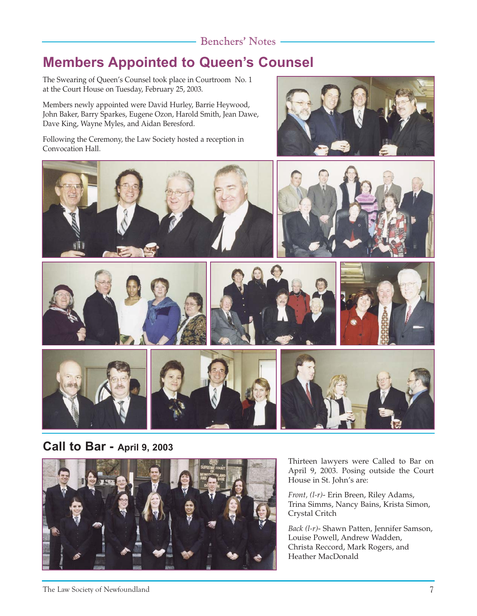# **Members Appointed to Queen's Counsel**

The Swearing of Queen's Counsel took place in Courtroom No. 1 at the Court House on Tuesday, February 25, 2003.

Members newly appointed were David Hurley, Barrie Heywood, John Baker, Barry Sparkes, Eugene Ozon, Harold Smith, Jean Dawe, Dave King, Wayne Myles, and Aidan Beresford.

Following the Ceremony, the Law Society hosted a reception in Convocation Hall.





## **Call to Bar - April 9, 2003**



Thirteen lawyers were Called to Bar on April 9, 2003. Posing outside the Court House in St. John's are:

*Front, (l-r)*- Erin Breen, Riley Adams, Trina Simms, Nancy Bains, Krista Simon, Crystal Critch

*Back (l-r)*- Shawn Patten, Jennifer Samson, Louise Powell, Andrew Wadden, Christa Reccord, Mark Rogers, and Heather MacDonald